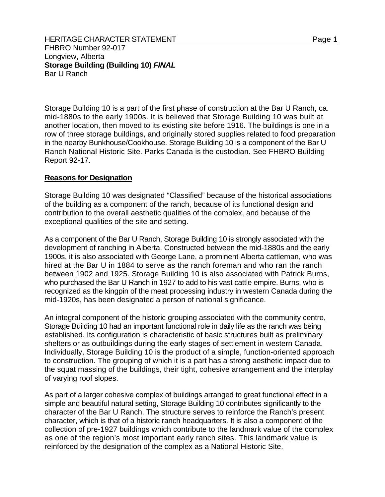FHBRO Number 92-017 Longview, Alberta **Storage Building (Building 10)** *FINAL*  Bar U Ranch

Storage Building 10 is a part of the first phase of construction at the Bar U Ranch, ca. mid-1880s to the early 1900s. It is believed that Storage Building 10 was built at another location, then moved to its existing site before 1916. The buildings is one in a row of three storage buildings, and originally stored supplies related to food preparation in the nearby Bunkhouse/Cookhouse. Storage Building 10 is a component of the Bar U Ranch National Historic Site. Parks Canada is the custodian. See FHBRO Building Report 92-17.

## **Reasons for Designation**

Storage Building 10 was designated "Classified" because of the historical associations of the building as a component of the ranch, because of its functional design and contribution to the overall aesthetic qualities of the complex, and because of the exceptional qualities of the site and setting.

As a component of the Bar U Ranch, Storage Building 10 is strongly associated with the development of ranching in Alberta. Constructed between the mid-1880s and the early 1900s, it is also associated with George Lane, a prominent Alberta cattleman, who was hired at the Bar U in 1884 to serve as the ranch foreman and who ran the ranch between 1902 and 1925. Storage Building 10 is also associated with Patrick Burns, who purchased the Bar U Ranch in 1927 to add to his vast cattle empire. Burns, who is recognized as the kingpin of the meat processing industry in western Canada during the mid-1920s, has been designated a person of national significance.

An integral component of the historic grouping associated with the community centre, Storage Building 10 had an important functional role in daily life as the ranch was being established. Its configuration is characteristic of basic structures built as preliminary shelters or as outbuildings during the early stages of settlement in western Canada. Individually, Storage Building 10 is the product of a simple, function-oriented approach to construction. The grouping of which it is a part has a strong aesthetic impact due to the squat massing of the buildings, their tight, cohesive arrangement and the interplay of varying roof slopes.

As part of a larger cohesive complex of buildings arranged to great functional effect in a simple and beautiful natural setting, Storage Building 10 contributes significantly to the character of the Bar U Ranch. The structure serves to reinforce the Ranch's present character, which is that of a historic ranch headquarters. It is also a component of the collection of pre-1927 buildings which contribute to the landmark value of the complex as one of the region's most important early ranch sites. This landmark value is reinforced by the designation of the complex as a National Historic Site.